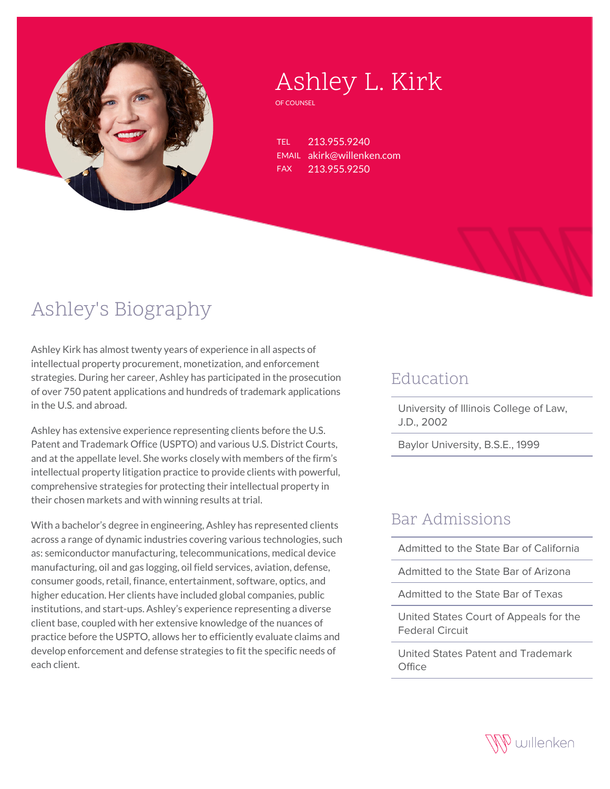

# Ashley L. Kirk

OF COUNSEL

TEL 213.955.9240 EMAIL akirk@willenken.com FAX 213.955.9250

## Ashley's Biography

Ashley Kirk has almost twenty years of experience in all aspects of intellectual property procurement, monetization, and enforcement strategies. During her career, Ashley has participated in the prosecution of over 750 patent applications and hundreds of trademark applications in the U.S. and abroad.

Ashley has extensive experience representing clients before the U.S. Patent and Trademark Office (USPTO) and various U.S. District Courts, and at the appellate level. She works closely with members of the firm's intellectual property litigation practice to provide clients with powerful, comprehensive strategies for protecting their intellectual property in their chosen markets and with winning results at trial.

With a bachelor's degree in engineering, Ashley has represented clients across a range of dynamic industries covering various technologies, such as: semiconductor manufacturing, telecommunications, medical device manufacturing, oil and gas logging, oil field services, aviation, defense, consumer goods, retail, finance, entertainment, software, optics, and higher education. Her clients have included global companies, public institutions, and start-ups. Ashley's experience representing a diverse client base, coupled with her extensive knowledge of the nuances of practice before the USPTO, allows her to efficiently evaluate claims and develop enforcement and defense strategies to fit the specific needs of each client.

#### Education

University of Illinois College of Law, J.D., 2002

Baylor University, B.S.E., 1999

### Bar Admissions

Admitted to the State Bar of California

Admitted to the State Bar of Arizona

Admitted to the State Bar of Texas

United States Court of Appeals for the Federal Circuit

United States Patent and Trademark  $Offic$ e

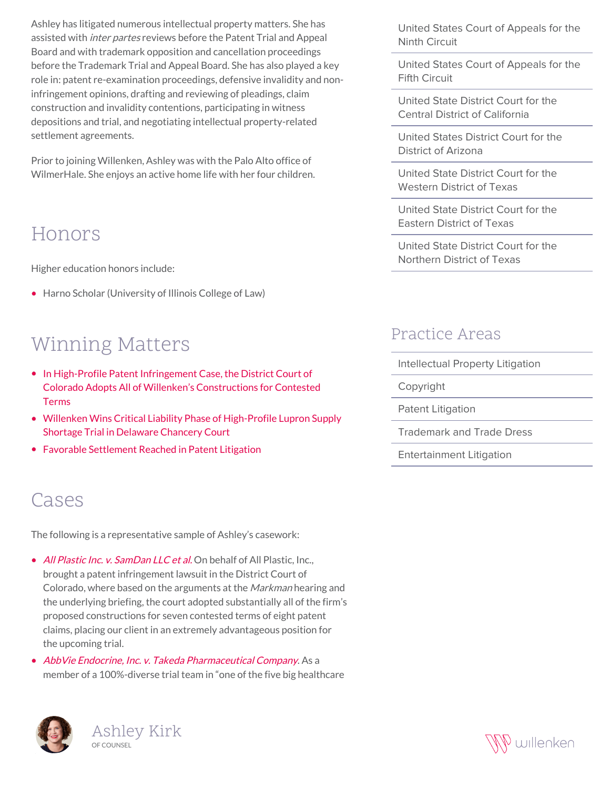Ashley has litigated numerous intellectual property matters. She has assisted with *inter partes* reviews before the Patent Trial and Appeal Board and with trademark opposition and cancellation proceedings before the Trademark Trial and Appeal Board. She has also played a key role in: patent re-examination proceedings, defensive invalidity and noninfringement opinions, drafting and reviewing of pleadings, claim construction and invalidity contentions, participating in witness depositions and trial, and negotiating intellectual property-related settlement agreements.

Prior to joining Willenken, Ashley was with the Palo Alto office of WilmerHale. She enjoys an active home life with her four children.

### Honors

Higher education honors include:

• Harno Scholar (University of Illinois College of Law)

## Winning Matters

- [In High-Profile Patent Infringement Case, the District Court of](https://willenken.com/winning-matters/in-high-profile-patent-infringement-case-the-district-court-of-colorado-adopts-all-of-willenkens-constructions-for-contested-terms/) [Colorado Adopts All of Willenken's Constructions for Contested](https://willenken.com/winning-matters/in-high-profile-patent-infringement-case-the-district-court-of-colorado-adopts-all-of-willenkens-constructions-for-contested-terms/) [Terms](https://willenken.com/winning-matters/in-high-profile-patent-infringement-case-the-district-court-of-colorado-adopts-all-of-willenkens-constructions-for-contested-terms/)
- [Willenken Wins Critical Liability Phase of High-Profile Lupron Supply](https://willenken.com/winning-matters/willenken-wins-critical-liability-phase-of-high-profile-lupron-supply-shortage-trial-in-delaware-chancery-court/) [Shortage Trial in Delaware Chancery Court](https://willenken.com/winning-matters/willenken-wins-critical-liability-phase-of-high-profile-lupron-supply-shortage-trial-in-delaware-chancery-court/)
- [Favorable Settlement Reached in Patent Litigation](https://willenken.com/winning-matters/favorable-settlement-reached-in-patent-litigation/)

## Cases

The following is a representative sample of Ashley's casework:

- [All Plastic Inc. v. SamDan LLC et al.](https://willenken.com/winning-matters/in-high-profile-patent-infringement-case-the-district-court-of-colorado-adopts-all-of-willenkens-constructions-for-contested-terms/) On behalf of All Plastic, Inc., brought a patent infringement lawsuit in the District Court of Colorado, where based on the arguments at the Markman hearing and the underlying briefing, the court adopted substantially all of the firm's proposed constructions for seven contested terms of eight patent claims, placing our client in an extremely advantageous position for the upcoming trial.
- [AbbVie Endocrine, Inc. v. Takeda Pharmaceutical Company](https://willenken.com/winning-matters/willenken-wins-critical-liability-phase-of-high-profile-lupron-supply-shortage-trial-in-delaware-chancery-court/). As a member of a 100%-diverse trial team in "one of the five big healthcare





United States Court of Appeals for the Ninth Circuit

United States Court of Appeals for the Fifth Circuit

United State District Court for the Central District of California

United States District Court for the District of Arizona

United State District Court for the Western District of Texas

United State District Court for the Eastern District of Texas

United State District Court for the Northern District of Texas

#### Practice Areas

- Intellectual Property Litigation
- Copyright

Patent Litigation

Trademark and Trade Dress

Entertainment Litigation